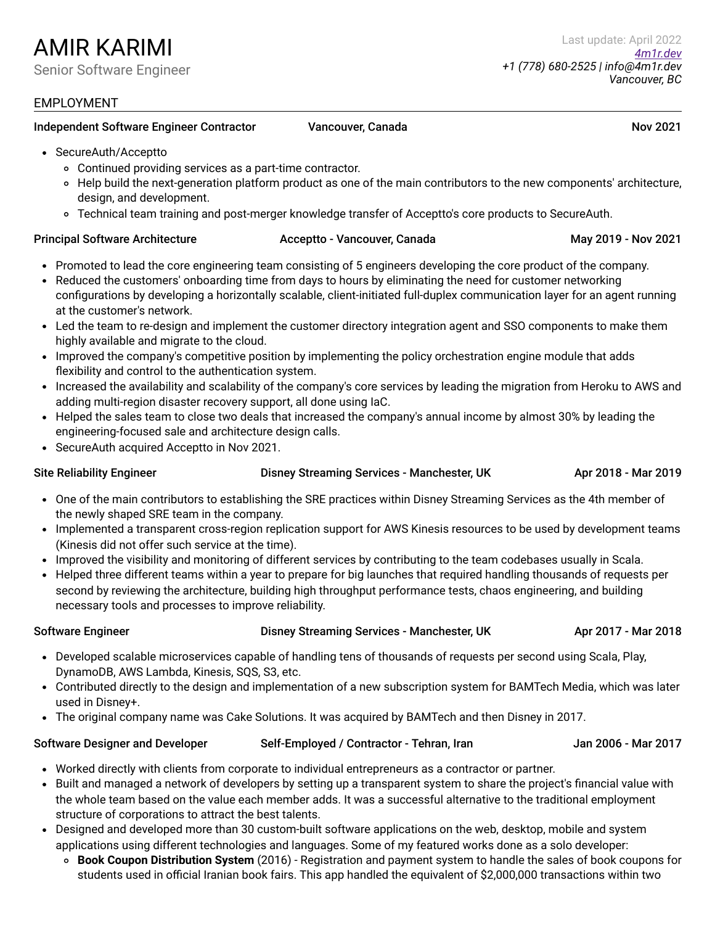### Independent Software Engineer Contractor **Cancouver, Canada** Nov 2021 Nov 2021

- Continued providing services as a part-time contractor.
- Help build the next-generation platform product as one of the main contributors to the new components' architecture, design, and development.
- Technical team training and post-merger knowledge transfer of Acceptto's core products to SecureAuth.

### Principal Software Architecture **Acceptto - Vancouver, Canada** May 2019 - Nov 2021

- Promoted to lead the core engineering team consisting of 5 engineers developing the core product of the company.
- Reduced the customers' onboarding time from days to hours by eliminating the need for customer networking configurations by developing a horizontally scalable, client-initiated full-duplex communication layer for an agent running at the customer's network.
- Led the team to re-design and implement the customer directory integration agent and SSO components to make them highly available and migrate to the cloud.
- Improved the company's competitive position by implementing the policy orchestration engine module that adds flexibility and control to the authentication system.
- Increased the availability and scalability of the company's core services by leading the migration from Heroku to AWS and adding multi-region disaster recovery support, all done using IaC.
- Helped the sales team to close two deals that increased the company's annual income by almost 30% by leading the engineering-focused sale and architecture design calls.
- SecureAuth acquired Acceptto in Nov 2021.

Site Reliability Engineer **Disney Streaming Services - Manchester, UK** Apr 2018 - Mar 2019

- One of the main contributors to establishing the SRE practices within Disney Streaming Services as the 4th member of the newly shaped SRE team in the company.
- Implemented a transparent cross-region replication support for AWS Kinesis resources to be used by development teams (Kinesis did not offer such service at the time).
- Improved the visibility and monitoring of different services by contributing to the team codebases usually in Scala.
- Helped three different teams within a year to prepare for big launches that required handling thousands of requests per second by reviewing the architecture, building high throughput performance tests, chaos engineering, and building necessary tools and processes to improve reliability.

### Software Engineer **Disney Streaming Services - Manchester, UK** Apr 2017 - Mar 2018

- Developed scalable microservices capable of handling tens of thousands of requests per second using Scala, Play, DynamoDB, AWS Lambda, Kinesis, SQS, S3, etc.
- Contributed directly to the design and implementation of a new subscription system for BAMTech Media, which was later used in Disney+.
- The original company name was Cake Solutions. It was acquired by BAMTech and then Disney in 2017.

### Software Designer and Developer Self-Employed / Contractor - Tehran, Iran Jan 2006 - Mar 2017

- Worked directly with clients from corporate to individual entrepreneurs as a contractor or partner.
- Built and managed a network of developers by setting up a transparent system to share the project's financial value with the whole team based on the value each member adds. It was a successful alternative to the traditional employment structure of corporations to attract the best talents.
- Designed and developed more than 30 custom-built software applications on the web, desktop, mobile and system applications using different technologies and languages. Some of my featured works done as a solo developer:
	- **Book Coupon Distribution System** (2016) Registration and payment system to handle the sales of book coupons for students used in official Iranian book fairs. This app handled the equivalent of \$2,000,000 transactions within two